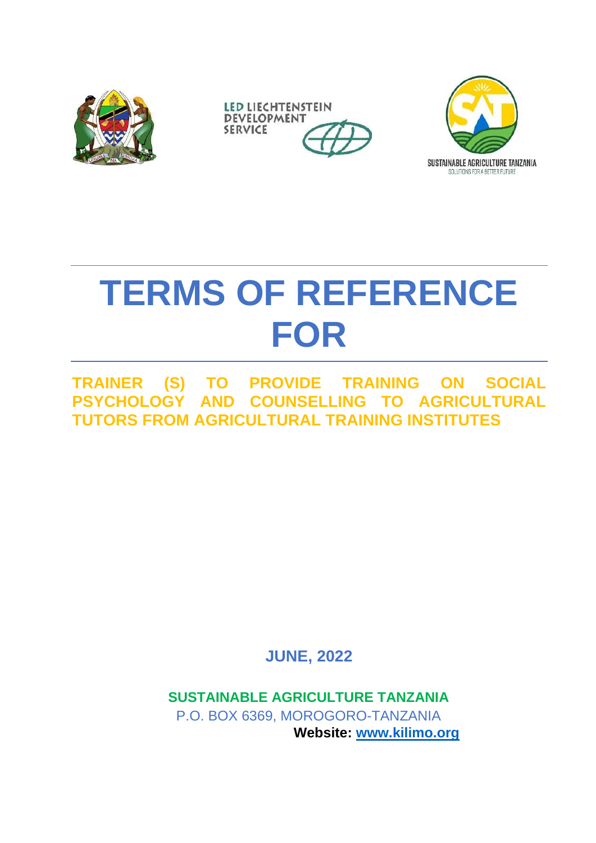





# **TERMS OF REFERENCE FOR**

**TRAINER (S) TO PROVIDE TRAINING ON SOCIAL PSYCHOLOGY AND COUNSELLING TO AGRICULTURAL TUTORS FROM AGRICULTURAL TRAINING INSTITUTES**

**JUNE, 2022**

**SUSTAINABLE AGRICULTURE TANZANIA** P.O. BOX 6369, MOROGORO-TANZANIA **Website: [www.kilimo.org](http://www.kilimo.org/)**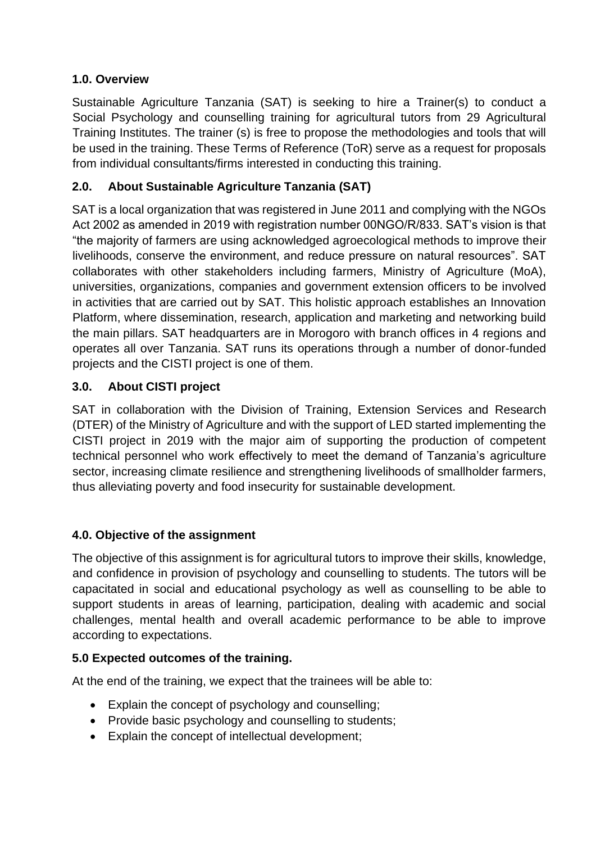### **1.0. Overview**

Sustainable Agriculture Tanzania (SAT) is seeking to hire a Trainer(s) to conduct a Social Psychology and counselling training for agricultural tutors from 29 Agricultural Training Institutes. The trainer (s) is free to propose the methodologies and tools that will be used in the training. These Terms of Reference (ToR) serve as a request for proposals from individual consultants/firms interested in conducting this training.

# **2.0. About Sustainable Agriculture Tanzania (SAT)**

SAT is a local organization that was registered in June 2011 and complying with the NGOs Act 2002 as amended in 2019 with registration number 00NGO/R/833, SAT's vision is that "the majority of farmers are using acknowledged agroecological methods to improve their livelihoods, conserve the environment, and reduce pressure on natural resources". SAT collaborates with other stakeholders including farmers, Ministry of Agriculture (MoA), universities, organizations, companies and government extension officers to be involved in activities that are carried out by SAT. This holistic approach establishes an Innovation Platform, where dissemination, research, application and marketing and networking build the main pillars. SAT headquarters are in Morogoro with branch offices in 4 regions and operates all over Tanzania. SAT runs its operations through a number of donor-funded projects and the CISTI project is one of them.

# **3.0. About CISTI project**

SAT in collaboration with the Division of Training, Extension Services and Research (DTER) of the Ministry of Agriculture and with the support of LED started implementing the CISTI project in 2019 with the major aim of supporting the production of competent technical personnel who work effectively to meet the demand of Tanzania's agriculture sector, increasing climate resilience and strengthening livelihoods of smallholder farmers, thus alleviating poverty and food insecurity for sustainable development.

# **4.0. Objective of the assignment**

The objective of this assignment is for agricultural tutors to improve their skills, knowledge, and confidence in provision of psychology and counselling to students. The tutors will be capacitated in social and educational psychology as well as counselling to be able to support students in areas of learning, participation, dealing with academic and social challenges, mental health and overall academic performance to be able to improve according to expectations.

#### **5.0 Expected outcomes of the training.**

At the end of the training, we expect that the trainees will be able to:

- Explain the concept of psychology and counselling;
- Provide basic psychology and counselling to students;
- Explain the concept of intellectual development;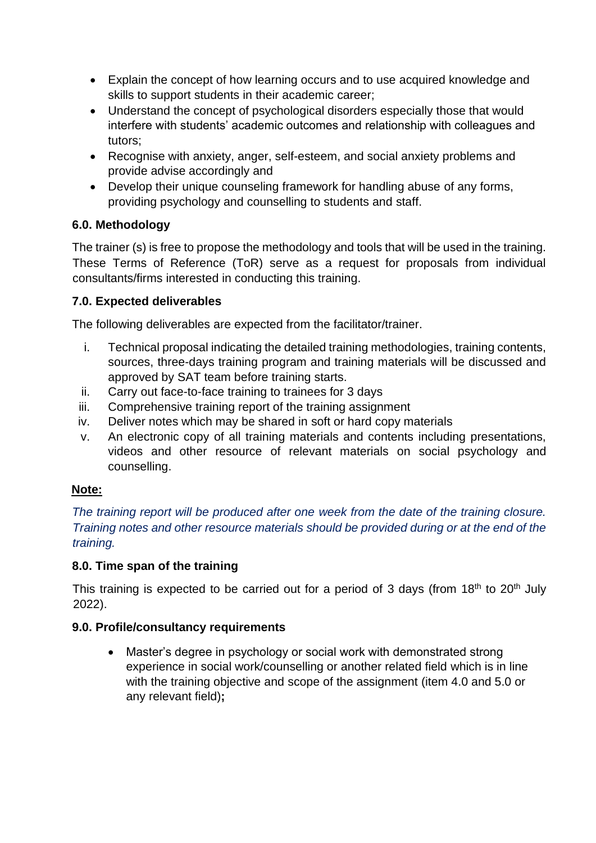- Explain the concept of how learning occurs and to use acquired knowledge and skills to support students in their academic career;
- Understand the concept of psychological disorders especially those that would interfere with students' academic outcomes and relationship with colleagues and tutors;
- Recognise with anxiety, anger, self-esteem, and social anxiety problems and provide advise accordingly and
- Develop their unique counseling framework for handling abuse of any forms, providing psychology and counselling to students and staff.

# **6.0. Methodology**

The trainer (s) is free to propose the methodology and tools that will be used in the training. These Terms of Reference (ToR) serve as a request for proposals from individual consultants/firms interested in conducting this training.

# **7.0. Expected deliverables**

The following deliverables are expected from the facilitator/trainer.

- i. Technical proposal indicating the detailed training methodologies, training contents, sources, three-days training program and training materials will be discussed and approved by SAT team before training starts.
- ii. Carry out face-to-face training to trainees for 3 days
- iii. Comprehensive training report of the training assignment
- iv. Deliver notes which may be shared in soft or hard copy materials
- v. An electronic copy of all training materials and contents including presentations, videos and other resource of relevant materials on social psychology and counselling.

#### **Note:**

*The training report will be produced after one week from the date of the training closure. Training notes and other resource materials should be provided during or at the end of the training.*

#### **8.0. Time span of the training**

This training is expected to be carried out for a period of 3 days (from  $18<sup>th</sup>$  to  $20<sup>th</sup>$  July 2022).

#### **9.0. Profile/consultancy requirements**

• Master's degree in psychology or social work with demonstrated strong experience in social work/counselling or another related field which is in line with the training objective and scope of the assignment (item 4.0 and 5.0 or any relevant field)**;**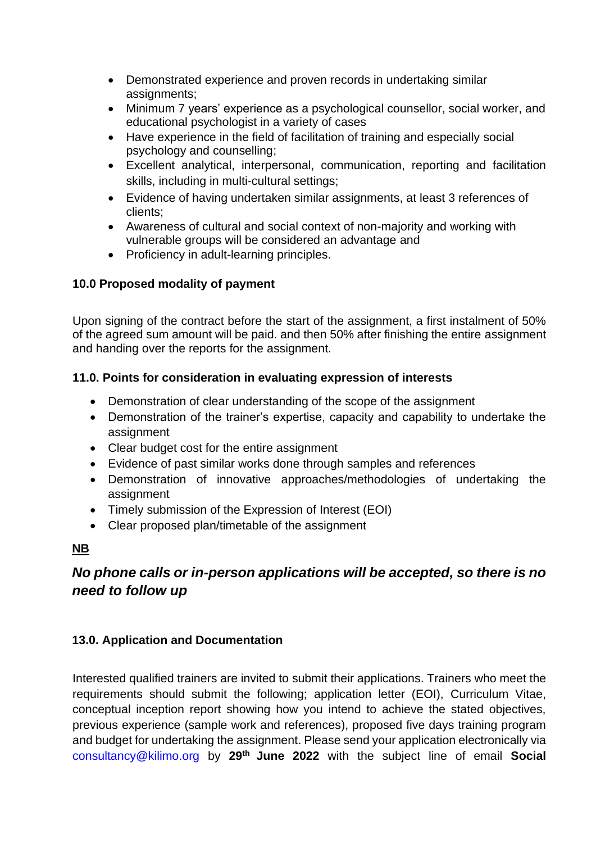- Demonstrated experience and proven records in undertaking similar assignments;
- Minimum 7 years' experience as a psychological counsellor, social worker, and educational psychologist in a variety of cases
- Have experience in the field of facilitation of training and especially social psychology and counselling;
- Excellent analytical, interpersonal, communication, reporting and facilitation skills, including in multi-cultural settings;
- Evidence of having undertaken similar assignments, at least 3 references of clients;
- Awareness of cultural and social context of non-majority and working with vulnerable groups will be considered an advantage and
- Proficiency in adult-learning principles.

# **10.0 Proposed modality of payment**

Upon signing of the contract before the start of the assignment, a first instalment of 50% of the agreed sum amount will be paid. and then 50% after finishing the entire assignment and handing over the reports for the assignment.

# **11.0. Points for consideration in evaluating expression of interests**

- Demonstration of clear understanding of the scope of the assignment
- Demonstration of the trainer's expertise, capacity and capability to undertake the assignment
- Clear budget cost for the entire assignment
- Evidence of past similar works done through samples and references
- Demonstration of innovative approaches/methodologies of undertaking the assignment
- Timely submission of the Expression of Interest (EOI)
- Clear proposed plan/timetable of the assignment

# **NB**

# *No phone calls or in-person applications will be accepted, so there is no need to follow up*

# **13.0. Application and Documentation**

Interested qualified trainers are invited to submit their applications. Trainers who meet the requirements should submit the following; application letter (EOI), Curriculum Vitae, conceptual inception report showing how you intend to achieve the stated objectives, previous experience (sample work and references), proposed five days training program and budget for undertaking the assignment. Please send your application electronically via consultancy@kilimo.org by **29th June 2022** with the subject line of email **Social**